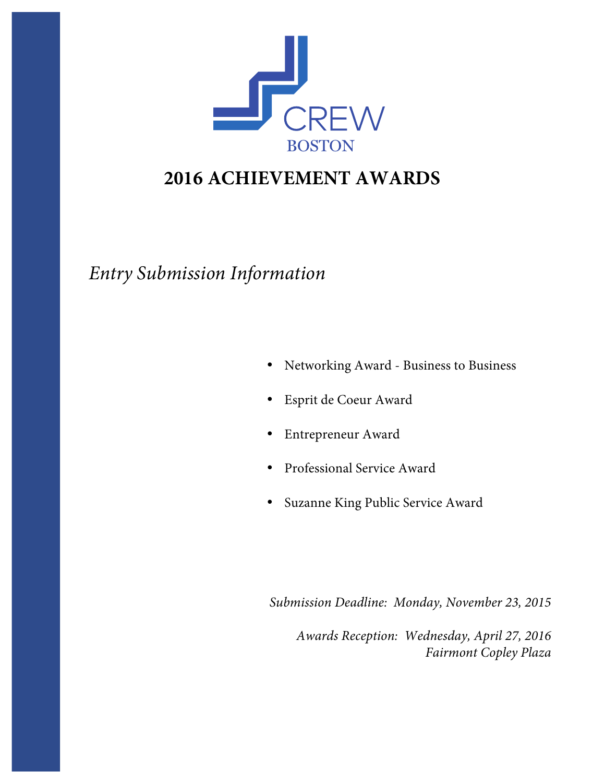

# **2016 ACHIEVEMENT AWARDS**

*Entry Submission Information*

- Networking Award Business to Business
- Esprit de Coeur Award
- Entrepreneur Award
- Professional Service Award
- Suzanne King Public Service Award

*Submission Deadline: Monday, November 23, 2015*

*Awards Reception: Wednesday, April 27, 2016 Fairmont Copley Plaza*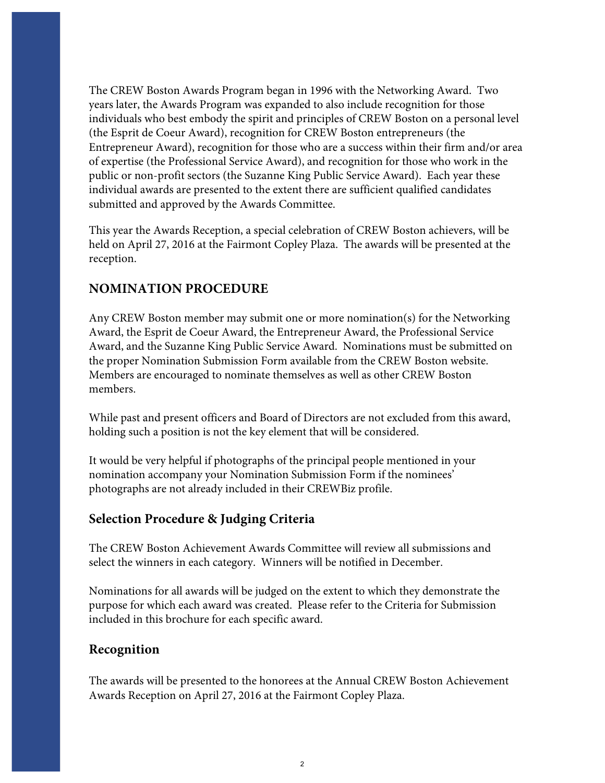The CREW Boston Awards Program began in 1996 with the Networking Award. Two years later, the Awards Program was expanded to also include recognition for those individuals who best embody the spirit and principles of CREW Boston on a personal level (the Esprit de Coeur Award), recognition for CREW Boston entrepreneurs (the Entrepreneur Award), recognition for those who are a success within their firm and/or area of expertise (the Professional Service Award), and recognition for those who work in the public or non-profit sectors (the Suzanne King Public Service Award). Each year these individual awards are presented to the extent there are sufficient qualified candidates submitted and approved by the Awards Committee.

This year the Awards Reception, a special celebration of CREW Boston achievers, will be held on April 27, 2016 at the Fairmont Copley Plaza. The awards will be presented at the reception.

#### **NOMINATION PROCEDURE**

Any CREW Boston member may submit one or more nomination(s) for the Networking Award, the Esprit de Coeur Award, the Entrepreneur Award, the Professional Service Award, and the Suzanne King Public Service Award. Nominations must be submitted on the proper Nomination Submission Form available from the CREW Boston website. Members are encouraged to nominate themselves as well as other CREW Boston members.

While past and present officers and Board of Directors are not excluded from this award, holding such a position is not the key element that will be considered.

It would be very helpful if photographs of the principal people mentioned in your nomination accompany your Nomination Submission Form if the nominees' photographs are not already included in their CREWBiz profile.

#### **Selection Procedure & Judging Criteria**

The CREW Boston Achievement Awards Committee will review all submissions and select the winners in each category. Winners will be notified in December.

Nominations for all awards will be judged on the extent to which they demonstrate the purpose for which each award was created. Please refer to the Criteria for Submission included in this brochure for each specific award.

#### **Recognition**

The awards will be presented to the honorees at the Annual CREW Boston Achievement Awards Reception on April 27, 2016 at the Fairmont Copley Plaza.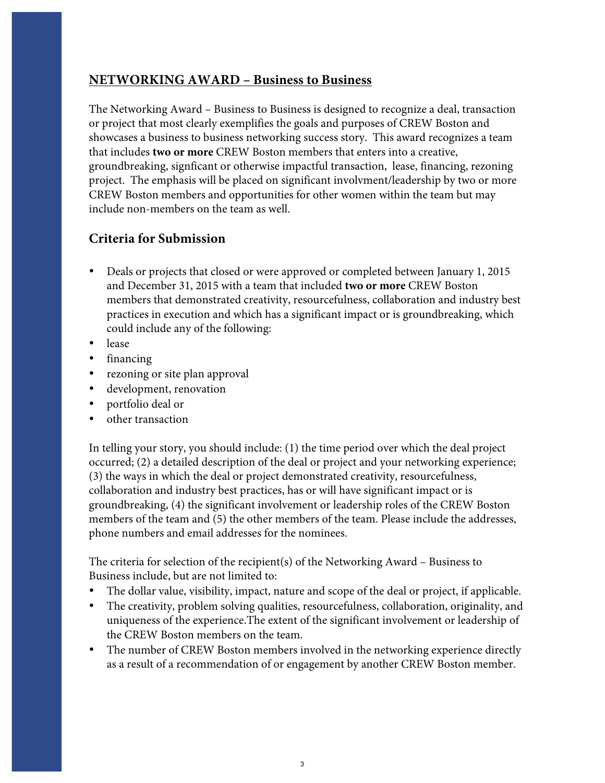#### **NETWORKING AWARD – Business to Business**

The Networking Award – Business to Business is designed to recognize a deal, transaction or project that most clearly exemplifies the goals and purposes of CREW Boston and showcases a business to business networking success story. This award recognizes a team that includes **two or more** CREW Boston members that enters into a creative, groundbreaking, signficant or otherwise impactful transaction, lease, financing, rezoning project. The emphasis will be placed on significant involvment/leadership by two or more CREW Boston members and opportunities for other women within the team but may include non-members on the team as well.

#### **Criteria for Submission**

- Deals or projects that closed or were approved or completed between January 1, 2015 and December 31, 2015 with a team that included **two or more** CREW Boston members that demonstrated creativity, resourcefulness, collaboration and industry best practices in execution and which has a significant impact or is groundbreaking, which could include any of the following:
- lease
- financing
- rezoning or site plan approval
- development, renovation
- portfolio deal or
- other transaction

In telling your story, you should include: (1) the time period over which the deal project occurred; (2) a detailed description of the deal or project and your networking experience; (3) the ways in which the deal or project demonstrated creativity, resourcefulness, collaboration and industry best practices, has or will have significant impact or is groundbreaking, (4) the significant involvement or leadership roles of the CREW Boston members of the team and (5) the other members of the team. Please include the addresses, phone numbers and email addresses for the nominees.

The criteria for selection of the recipient(s) of the Networking Award – Business to Business include, but are not limited to:

- The dollar value, visibility, impact, nature and scope of the deal or project, if applicable.
- The creativity, problem solving qualities, resourcefulness, collaboration, originality, and uniqueness of the experience.The extent of the significant involvement or leadership of the CREW Boston members on the team.
- The number of CREW Boston members involved in the networking experience directly as a result of a recommendation of or engagement by another CREW Boston member.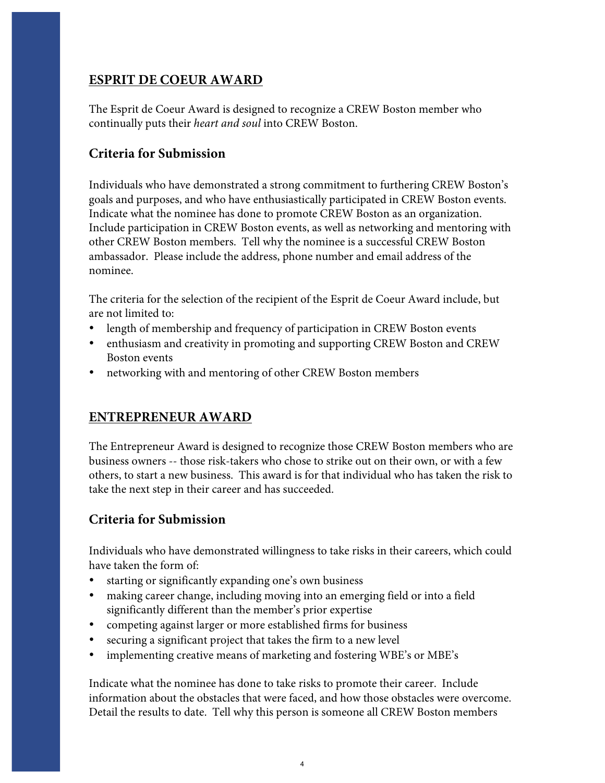### **ESPRIT DE COEUR AWARD**

The Esprit de Coeur Award is designed to recognize a CREW Boston member who continually puts their *heart and soul* into CREW Boston.

### **Criteria for Submission**

Individuals who have demonstrated a strong commitment to furthering CREW Boston's goals and purposes, and who have enthusiastically participated in CREW Boston events. Indicate what the nominee has done to promote CREW Boston as an organization. Include participation in CREW Boston events, as well as networking and mentoring with other CREW Boston members. Tell why the nominee is a successful CREW Boston ambassador. Please include the address, phone number and email address of the nominee.

The criteria for the selection of the recipient of the Esprit de Coeur Award include, but are not limited to:

- length of membership and frequency of participation in CREW Boston events
- enthusiasm and creativity in promoting and supporting CREW Boston and CREW Boston events
- networking with and mentoring of other CREW Boston members

#### **ENTREPRENEUR AWARD**

The Entrepreneur Award is designed to recognize those CREW Boston members who are business owners -- those risk-takers who chose to strike out on their own, or with a few others, to start a new business. This award is for that individual who has taken the risk to take the next step in their career and has succeeded.

#### **Criteria for Submission**

Individuals who have demonstrated willingness to take risks in their careers, which could have taken the form of:

- starting or significantly expanding one's own business
- making career change, including moving into an emerging field or into a field significantly different than the member's prior expertise
- competing against larger or more established firms for business
- securing a significant project that takes the firm to a new level
- implementing creative means of marketing and fostering WBE's or MBE's

Indicate what the nominee has done to take risks to promote their career. Include information about the obstacles that were faced, and how those obstacles were overcome. Detail the results to date. Tell why this person is someone all CREW Boston members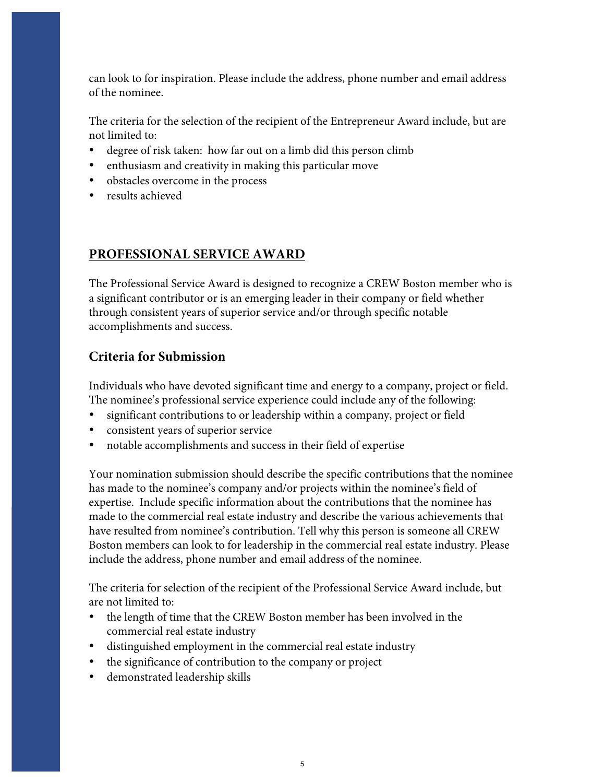can look to for inspiration. Please include the address, phone number and email address of the nominee.

The criteria for the selection of the recipient of the Entrepreneur Award include, but are not limited to:

- degree of risk taken: how far out on a limb did this person climb
- enthusiasm and creativity in making this particular move
- obstacles overcome in the process
- results achieved

#### **PROFESSIONAL SERVICE AWARD**

The Professional Service Award is designed to recognize a CREW Boston member who is a significant contributor or is an emerging leader in their company or field whether through consistent years of superior service and/or through specific notable accomplishments and success.

#### **Criteria for Submission**

Individuals who have devoted significant time and energy to a company, project or field. The nominee's professional service experience could include any of the following:

- significant contributions to or leadership within a company, project or field
- consistent years of superior service
- notable accomplishments and success in their field of expertise

Your nomination submission should describe the specific contributions that the nominee has made to the nominee's company and/or projects within the nominee's field of expertise. Include specific information about the contributions that the nominee has made to the commercial real estate industry and describe the various achievements that have resulted from nominee's contribution. Tell why this person is someone all CREW Boston members can look to for leadership in the commercial real estate industry. Please include the address, phone number and email address of the nominee.

The criteria for selection of the recipient of the Professional Service Award include, but are not limited to:

- the length of time that the CREW Boston member has been involved in the commercial real estate industry
- distinguished employment in the commercial real estate industry
- the significance of contribution to the company or project
- demonstrated leadership skills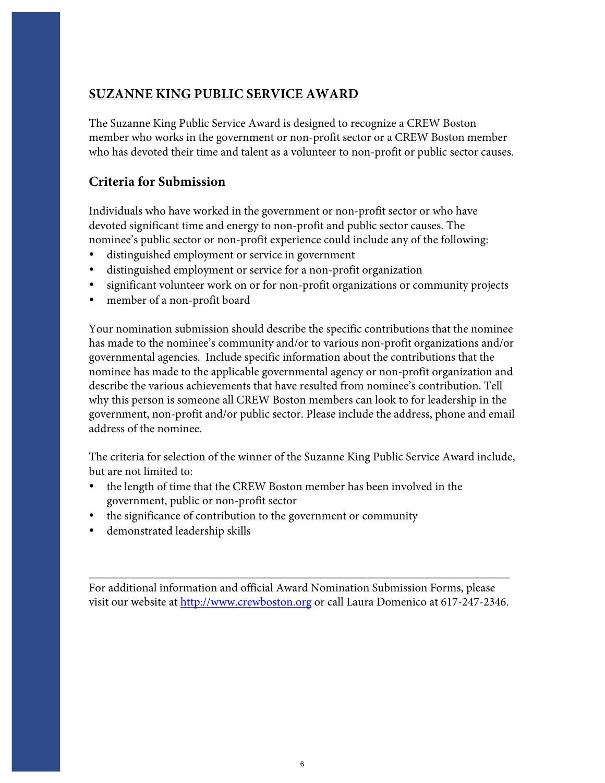## **SUZANNE KING PUBLIC SERVICE AWARD**

The Suzanne King Public Service Award is designed to recognize a CREW Boston member who works in the government or non-profit sector or a CREW Boston member who has devoted their time and talent as a volunteer to non-profit or public sector causes.

### **Criteria for Submission**

Individuals who have worked in the government or non-profit sector or who have devoted significant time and energy to non-profit and public sector causes. The nominee's public sector or non-profit experience could include any of the following:

- distinguished employment or service in government
- distinguished employment or service for a non-profit organization
- significant volunteer work on or for non-profit organizations or community projects
- member of a non-profit board

Your nomination submission should describe the specific contributions that the nominee has made to the nominee's community and/or to various non-profit organizations and/or governmental agencies. Include specific information about the contributions that the nominee has made to the applicable governmental agency or non-profit organization and describe the various achievements that have resulted from nominee's contribution. Tell why this person is someone all CREW Boston members can look to for leadership in the government, non-profit and/or public sector. Please include the address, phone and email address of the nominee.

The criteria for selection of the winner of the Suzanne King Public Service Award include, but are not limited to:

- the length of time that the CREW Boston member has been involved in the government, public or non-profit sector
- the significance of contribution to the government or community
- demonstrated leadership skills

For additional information and official Award Nomination Submission Forms, please visit our website at http://www.crewboston.org or call Laura Domenico at 617-247-2346.

\_\_\_\_\_\_\_\_\_\_\_\_\_\_\_\_\_\_\_\_\_\_\_\_\_\_\_\_\_\_\_\_\_\_\_\_\_\_\_\_\_\_\_\_\_\_\_\_\_\_\_\_\_\_\_\_\_\_\_\_\_\_\_\_\_\_\_\_\_\_\_